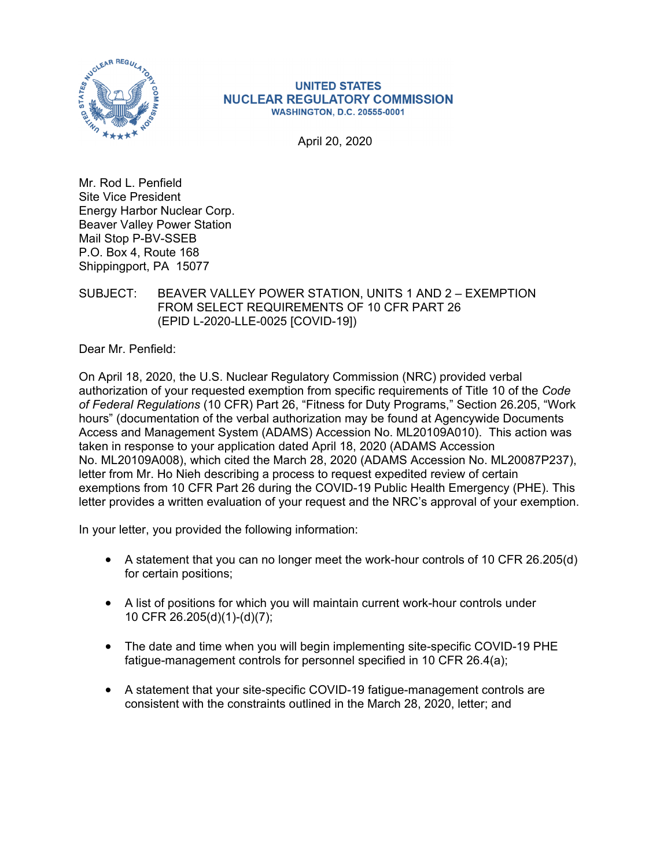

### **UNITED STATES NUCLEAR REGULATORY COMMISSION WASHINGTON, D.C. 20555-0001**

April 20, 2020

Mr. Rod L. Penfield Site Vice President Energy Harbor Nuclear Corp. Beaver Valley Power Station Mail Stop P-BV-SSEB P.O. Box 4, Route 168 Shippingport, PA 15077

# SUBJECT: BEAVER VALLEY POWER STATION, UNITS 1 AND 2 – EXEMPTION FROM SELECT REQUIREMENTS OF 10 CFR PART 26 (EPID L-2020-LLE-0025 [COVID-19])

Dear Mr. Penfield:

On April 18, 2020, the U.S. Nuclear Regulatory Commission (NRC) provided verbal authorization of your requested exemption from specific requirements of Title 10 of the *Code of Federal Regulations* (10 CFR) Part 26, "Fitness for Duty Programs," Section 26.205, "Work hours" (documentation of the verbal authorization may be found at Agencywide Documents Access and Management System (ADAMS) Accession No. ML20109A010). This action was taken in response to your application dated April 18, 2020 (ADAMS Accession No. ML20109A008), which cited the March 28, 2020 (ADAMS Accession No. ML20087P237), letter from Mr. Ho Nieh describing a process to request expedited review of certain exemptions from 10 CFR Part 26 during the COVID-19 Public Health Emergency (PHE). This letter provides a written evaluation of your request and the NRC's approval of your exemption.

In your letter, you provided the following information:

- A statement that you can no longer meet the work-hour controls of 10 CFR 26.205(d) for certain positions;
- A list of positions for which you will maintain current work-hour controls under 10 CFR 26.205(d)(1)-(d)(7);
- The date and time when you will begin implementing site-specific COVID-19 PHE fatigue-management controls for personnel specified in 10 CFR 26.4(a);
- A statement that your site-specific COVID-19 fatigue-management controls are consistent with the constraints outlined in the March 28, 2020, letter; and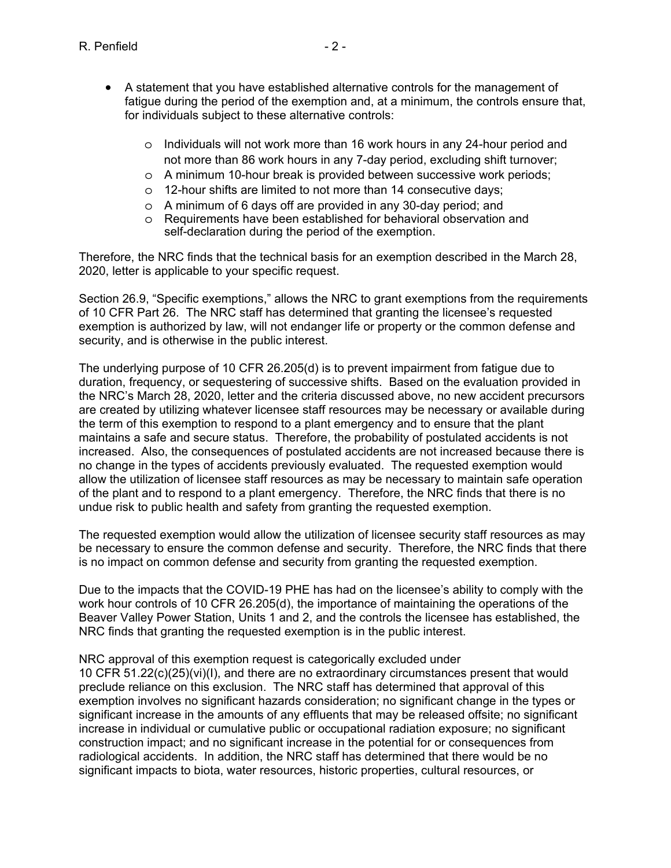- A statement that you have established alternative controls for the management of fatigue during the period of the exemption and, at a minimum, the controls ensure that, for individuals subject to these alternative controls:
	- o Individuals will not work more than 16 work hours in any 24-hour period and not more than 86 work hours in any 7-day period, excluding shift turnover;
	- o A minimum 10-hour break is provided between successive work periods;
	- o 12-hour shifts are limited to not more than 14 consecutive days;
	- o A minimum of 6 days off are provided in any 30-day period; and
	- o Requirements have been established for behavioral observation and self-declaration during the period of the exemption.

Therefore, the NRC finds that the technical basis for an exemption described in the March 28, 2020, letter is applicable to your specific request.

Section 26.9, "Specific exemptions," allows the NRC to grant exemptions from the requirements of 10 CFR Part 26. The NRC staff has determined that granting the licensee's requested exemption is authorized by law, will not endanger life or property or the common defense and security, and is otherwise in the public interest.

The underlying purpose of 10 CFR 26.205(d) is to prevent impairment from fatigue due to duration, frequency, or sequestering of successive shifts. Based on the evaluation provided in the NRC's March 28, 2020, letter and the criteria discussed above, no new accident precursors are created by utilizing whatever licensee staff resources may be necessary or available during the term of this exemption to respond to a plant emergency and to ensure that the plant maintains a safe and secure status. Therefore, the probability of postulated accidents is not increased. Also, the consequences of postulated accidents are not increased because there is no change in the types of accidents previously evaluated. The requested exemption would allow the utilization of licensee staff resources as may be necessary to maintain safe operation of the plant and to respond to a plant emergency. Therefore, the NRC finds that there is no undue risk to public health and safety from granting the requested exemption.

The requested exemption would allow the utilization of licensee security staff resources as may be necessary to ensure the common defense and security. Therefore, the NRC finds that there is no impact on common defense and security from granting the requested exemption.

Due to the impacts that the COVID-19 PHE has had on the licensee's ability to comply with the work hour controls of 10 CFR 26.205(d), the importance of maintaining the operations of the Beaver Valley Power Station, Units 1 and 2, and the controls the licensee has established, the NRC finds that granting the requested exemption is in the public interest.

NRC approval of this exemption request is categorically excluded under 10 CFR 51.22(c)(25)(vi)(I), and there are no extraordinary circumstances present that would preclude reliance on this exclusion. The NRC staff has determined that approval of this exemption involves no significant hazards consideration; no significant change in the types or significant increase in the amounts of any effluents that may be released offsite; no significant increase in individual or cumulative public or occupational radiation exposure; no significant construction impact; and no significant increase in the potential for or consequences from radiological accidents. In addition, the NRC staff has determined that there would be no significant impacts to biota, water resources, historic properties, cultural resources, or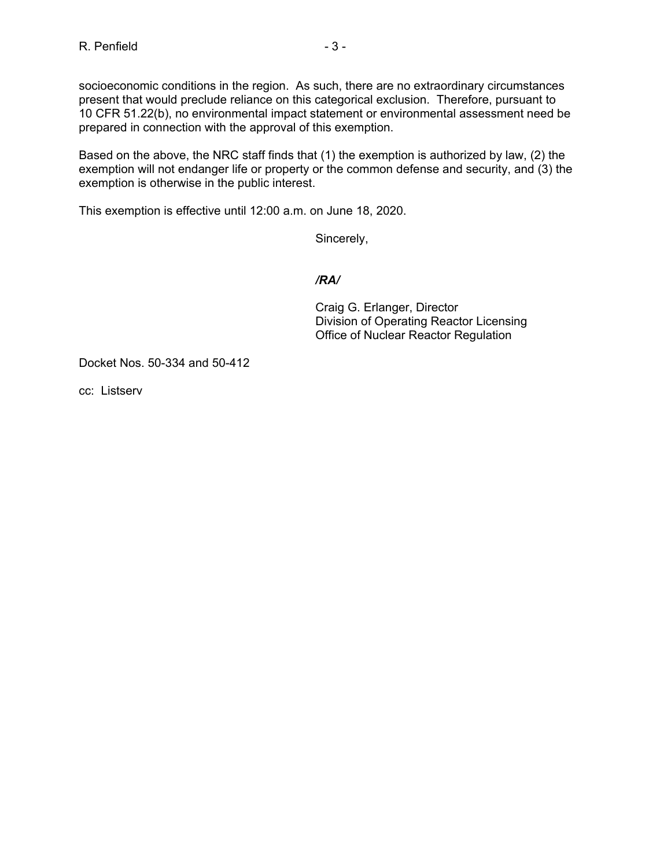socioeconomic conditions in the region. As such, there are no extraordinary circumstances present that would preclude reliance on this categorical exclusion. Therefore, pursuant to 10 CFR 51.22(b), no environmental impact statement or environmental assessment need be prepared in connection with the approval of this exemption.

Based on the above, the NRC staff finds that (1) the exemption is authorized by law, (2) the exemption will not endanger life or property or the common defense and security, and (3) the exemption is otherwise in the public interest.

This exemption is effective until 12:00 a.m. on June 18, 2020.

Sincerely,

*/RA/* 

Craig G. Erlanger, Director Division of Operating Reactor Licensing Office of Nuclear Reactor Regulation

Docket Nos. 50-334 and 50-412

cc: Listserv